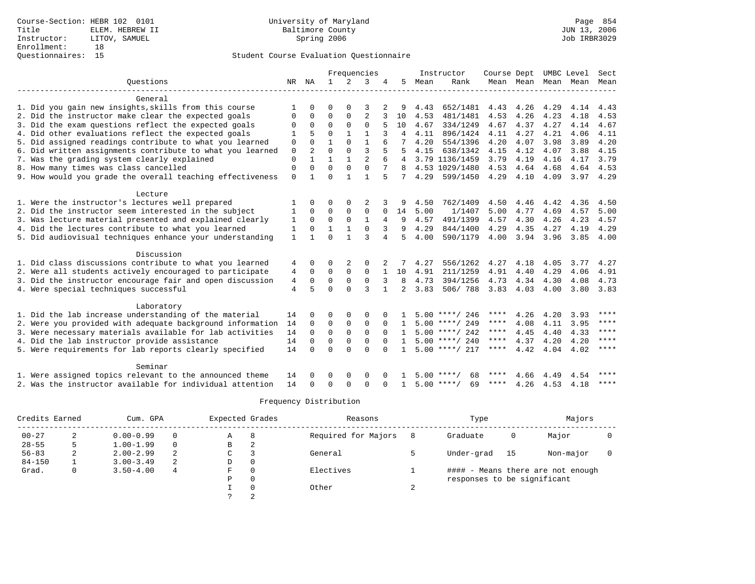## Student Course Evaluation Questionnaire

|                                                           | Frequencies  |                |              |              | Instructor     | Course Dept  |                |      | UMBC Level         | Sect |                |      |           |             |
|-----------------------------------------------------------|--------------|----------------|--------------|--------------|----------------|--------------|----------------|------|--------------------|------|----------------|------|-----------|-------------|
| Ouestions                                                 |              | NR NA          | $\mathbf{1}$ | 2            | 3              |              | 5              | Mean | Rank               |      | Mean Mean Mean |      | Mean Mean |             |
| General                                                   |              |                |              |              |                |              |                |      |                    |      |                |      |           |             |
| 1. Did you gain new insights, skills from this course     |              |                | $\Omega$     | $\Omega$     | 3              |              |                | 4.43 | 652/1481           | 4.43 | 4.26           | 4.29 | 4.14      | 4.43        |
| 2. Did the instructor make clear the expected goals       | $\Omega$     | 0              | $\Omega$     | $\Omega$     | $\overline{a}$ |              | 10             | 4.53 | 481/1481           | 4.53 | 4.26           | 4.23 | 4.18      | 4.53        |
| 3. Did the exam questions reflect the expected goals      | 0            | $\Omega$       | $\Omega$     | 0            | $\Omega$       |              | 10             | 4.67 | 334/1249           | 4.67 | 4.37           | 4.27 | 4.14      | 4.67        |
| 4. Did other evaluations reflect the expected goals       |              | 5              | $\Omega$     |              | 1              |              | 4              | 4.11 | 896/1424           | 4.11 | 4.27           | 4.21 | 4.06      | 4.11        |
| 5. Did assigned readings contribute to what you learned   | $\mathbf 0$  | $\Omega$       | 1            | $\Omega$     | $\mathbf{1}$   |              |                | 4.20 | 554/1396           | 4.20 | 4.07           | 3.98 | 3.89      | 4.20        |
| 6. Did written assignments contribute to what you learned | $\mathbf 0$  | $\overline{a}$ | $\cap$       | $\Omega$     | 3              |              | 5              | 4.15 | 638/1342           | 4.15 | 4.12           | 4.07 | 3.88      | 4.15        |
| 7. Was the grading system clearly explained               | $\Omega$     | 1              | 1            | $\mathbf{1}$ | $\overline{a}$ |              | 4              |      | 3.79 1136/1459     | 3.79 | 4.19           | 4.16 | 4.17      | 3.79        |
| 8. How many times was class cancelled                     | $\mathbf 0$  | $\Omega$       | $\Omega$     | $\Omega$     | $\Omega$       | 7            | R              |      | 4.53 1029/1480     | 4.53 | 4.64           | 4.68 | 4.64      | 4.53        |
| 9. How would you grade the overall teaching effectiveness | $\mathbf 0$  | 1              | $\cap$       | 1            | 1              | 5            | 7              | 4.29 | 599/1450           | 4.29 | 4.10           | 4.09 | 3.97      | 4.29        |
| Lecture                                                   |              |                |              |              |                |              |                |      |                    |      |                |      |           |             |
| 1. Were the instructor's lectures well prepared           |              | 0              | O            | $\Omega$     |                |              | 9              | 4.50 | 762/1409           | 4.50 | 4.46           | 4.42 | 4.36      | 4.50        |
| 2. Did the instructor seem interested in the subject      | 1            | $\Omega$       | $\Omega$     | $\Omega$     | $\Omega$       | $\Omega$     | 14             | 5.00 | 1/1407             | 5.00 | 4.77           | 4.69 | 4.57      | 5.00        |
| 3. Was lecture material presented and explained clearly   | 1            | $\Omega$       | 0            | 0            | 1              | 4            | 9              | 4.57 | 491/1399           | 4.57 | 4.30           | 4.26 | 4.23      | 4.57        |
| 4. Did the lectures contribute to what you learned        | 1            | 0              | $\mathbf{1}$ |              | $\Omega$       | 3            | 9              | 4.29 | 844/1400           | 4.29 | 4.35           | 4.27 | 4.19      | 4.29        |
| 5. Did audiovisual techniques enhance your understanding  | $\mathbf{1}$ |                | $\Omega$     | 1            | $\mathbf{z}$   | 4            | 5              | 4.00 | 590/1179           | 4.00 | 3.94           | 3.96 | 3.85      | 4.00        |
| Discussion                                                |              |                |              |              |                |              |                |      |                    |      |                |      |           |             |
| 1. Did class discussions contribute to what you learned   | 4            | 0              | O            | 2            | $\Omega$       |              |                | 4.27 | 556/1262           | 4.27 | 4.18           | 4.05 | 3.77      | 4.27        |
| 2. Were all students actively encouraged to participate   | 4            | 0              | $\Omega$     | $\Omega$     | $\Omega$       |              | 10             | 4.91 | 211/1259           | 4.91 | 4.40           | 4.29 | 4.06      | 4.91        |
| 3. Did the instructor encourage fair and open discussion  | 4            | 0              | 0            | $\Omega$     | $\mathbf 0$    | 3            | 8              | 4.73 | 394/1256           | 4.73 | 4.34           | 4.30 | 4.08      | 4.73        |
| 4. Were special techniques successful                     | 4            | 5              | $\Omega$     | $\cap$       | 3              | $\mathbf{1}$ | $\overline{2}$ | 3.83 | 506/788            | 3.83 | 4.03           | 4.00 | 3.80      | 3.83        |
| Laboratory                                                |              |                |              |              |                |              |                |      |                    |      |                |      |           |             |
| 1. Did the lab increase understanding of the material     | 14           | 0              | O            | $\Omega$     | $\Omega$       |              |                |      | $5.00$ ****/ 246   | **** | 4.26           | 4.20 | 3.93      | ****        |
| 2. Were you provided with adequate background information | 14           | $\Omega$       | $\mathbf 0$  | 0            | $\mathbf 0$    | $\Omega$     |                |      | $5.00$ ****/ 249   | **** | 4.08           | 4.11 | 3.95      | ****        |
| 3. Were necessary materials available for lab activities  | 14           | $\Omega$       | $\mathbf 0$  | $\Omega$     | $\mathbf 0$    | $\Omega$     | $\mathbf{1}$   |      | $5.00$ ****/ 242   | **** | 4.45           | 4.40 | 4.33      | $* * * * *$ |
| 4. Did the lab instructor provide assistance              | 14           | $\Omega$       | 0            | 0            | $\mathbf 0$    | $\Omega$     |                |      | $5.00$ ****/ 240   | **** | 4.37           | 4.20 | 4.20      | $***$ * * * |
| 5. Were requirements for lab reports clearly specified    | 14           | $\Omega$       | $\Omega$     | $\Omega$     | $\Omega$       | $\Omega$     |                |      | $5.00$ ****/ 217   | **** | 4.42           | 4.04 | 4.02      | ****        |
| Seminar                                                   |              |                |              |              |                |              |                |      |                    |      |                |      |           |             |
| 1. Were assigned topics relevant to the announced theme   | 14           |                | O            | $\Omega$     | $\Omega$       |              |                | 5.00 | 68                 |      | 4.66           | 4.49 | 4.54      | ****        |
| 2. Was the instructor available for individual attention  | 14           | <sup>n</sup>   | $\Omega$     | $\Omega$     | $\cap$         | ∩            |                |      | $5.00$ ****/<br>69 | **** | 4.26           | 4.53 | 4.18      | ****        |

## Frequency Distribution

| Credits Earned |   | Cum. GPA      | Expected Grades |   | Reasons |                     | Type | Majors                      |      |                                   |  |
|----------------|---|---------------|-----------------|---|---------|---------------------|------|-----------------------------|------|-----------------------------------|--|
| $00 - 27$      |   | $0.00 - 0.99$ | 0               | Α | 8       | Required for Majors |      | Graduate                    | 0    | Major                             |  |
| $28 - 55$      |   | $1.00 - 1.99$ | $\Omega$        | В | 2       |                     |      |                             |      |                                   |  |
| $56 - 83$      | 2 | $2.00 - 2.99$ | 2               | C |         | General             |      | Under-grad                  | - 15 | Non-major                         |  |
| $84 - 150$     |   | $3.00 - 3.49$ |                 | D | 0       |                     |      |                             |      |                                   |  |
| Grad.          | 0 | $3.50 - 4.00$ | 4               | F |         | Electives           |      |                             |      | #### - Means there are not enough |  |
|                |   |               |                 | Ρ |         |                     |      | responses to be significant |      |                                   |  |
|                |   |               |                 |   |         | Other               | ▵    |                             |      |                                   |  |
|                |   |               |                 |   |         |                     |      |                             |      |                                   |  |